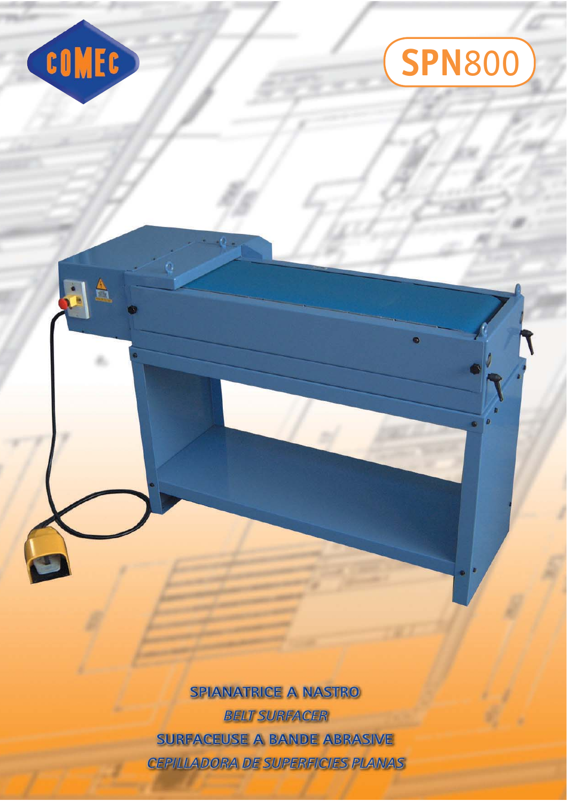

 $\bullet$ 

## **SPN**800

 $\bullet$ 

**SPIANATRICE A NASTRO BELT SURFACER SURFACEUSE A BANDE ABRASIVE CEPILLADORA DE SUPERFICIES PLANAS**